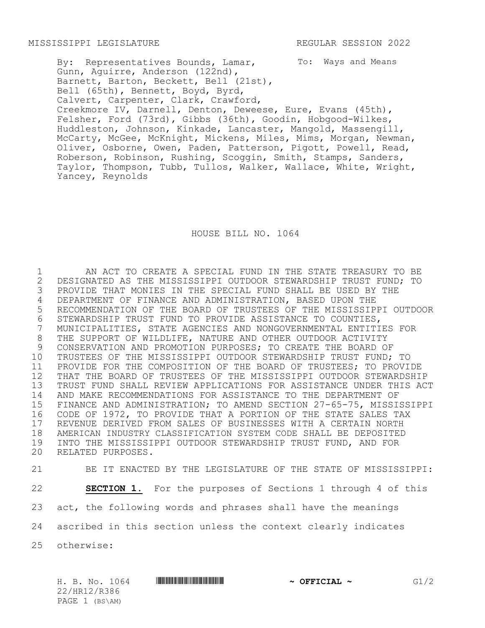To: Ways and Means By: Representatives Bounds, Lamar, Gunn, Aguirre, Anderson (122nd), Barnett, Barton, Beckett, Bell (21st), Bell (65th), Bennett, Boyd, Byrd, Calvert, Carpenter, Clark, Crawford, Creekmore IV, Darnell, Denton, Deweese, Eure, Evans (45th), Felsher, Ford (73rd), Gibbs (36th), Goodin, Hobgood-Wilkes, Huddleston, Johnson, Kinkade, Lancaster, Mangold, Massengill, McCarty, McGee, McKnight, Mickens, Miles, Mims, Morgan, Newman, Oliver, Osborne, Owen, Paden, Patterson, Pigott, Powell, Read, Roberson, Robinson, Rushing, Scoggin, Smith, Stamps, Sanders, Taylor, Thompson, Tubb, Tullos, Walker, Wallace, White, Wright, Yancey, Reynolds

HOUSE BILL NO. 1064

 AN ACT TO CREATE A SPECIAL FUND IN THE STATE TREASURY TO BE DESIGNATED AS THE MISSISSIPPI OUTDOOR STEWARDSHIP TRUST FUND; TO PROVIDE THAT MONIES IN THE SPECIAL FUND SHALL BE USED BY THE 4 DEPARTMENT OF FINANCE AND ADMINISTRATION, BASED UPON THE<br>5 RECOMMENDATION OF THE BOARD OF TRUSTEES OF THE MISSISSIP RECOMMENDATION OF THE BOARD OF TRUSTEES OF THE MISSISSIPPI OUTDOOR 6 STEWARDSHIP TRUST FUND TO PROVIDE ASSISTANCE TO COUNTIES,<br>7 MUNICIPALITIES, STATE AGENCIES AND NONGOVERNMENTAL ENTITI MUNICIPALITIES, STATE AGENCIES AND NONGOVERNMENTAL ENTITIES FOR THE SUPPORT OF WILDLIFE, NATURE AND OTHER OUTDOOR ACTIVITY CONSERVATION AND PROMOTION PURPOSES; TO CREATE THE BOARD OF TRUSTEES OF THE MISSISSIPPI OUTDOOR STEWARDSHIP TRUST FUND; TO PROVIDE FOR THE COMPOSITION OF THE BOARD OF TRUSTEES; TO PROVIDE THAT THE BOARD OF TRUSTEES OF THE MISSISSIPPI OUTDOOR STEWARDSHIP TRUST FUND SHALL REVIEW APPLICATIONS FOR ASSISTANCE UNDER THIS ACT AND MAKE RECOMMENDATIONS FOR ASSISTANCE TO THE DEPARTMENT OF 15 FINANCE AND ADMINISTRATION; TO AMEND SECTION 27-65-75, MISSISSIPPI<br>16 CODE OF 1972, TO PROVIDE THAT A PORTION OF THE STATE SALES TAX CODE OF 1972, TO PROVIDE THAT A PORTION OF THE STATE SALES TAX REVENUE DERIVED FROM SALES OF BUSINESSES WITH A CERTAIN NORTH AMERICAN INDUSTRY CLASSIFICATION SYSTEM CODE SHALL BE DEPOSITED INTO THE MISSISSIPPI OUTDOOR STEWARDSHIP TRUST FUND, AND FOR RELATED PURPOSES.

 BE IT ENACTED BY THE LEGISLATURE OF THE STATE OF MISSISSIPPI: **SECTION 1.** For the purposes of Sections 1 through 4 of this act, the following words and phrases shall have the meanings ascribed in this section unless the context clearly indicates otherwise:

22/HR12/R386 PAGE 1 (BS\AM)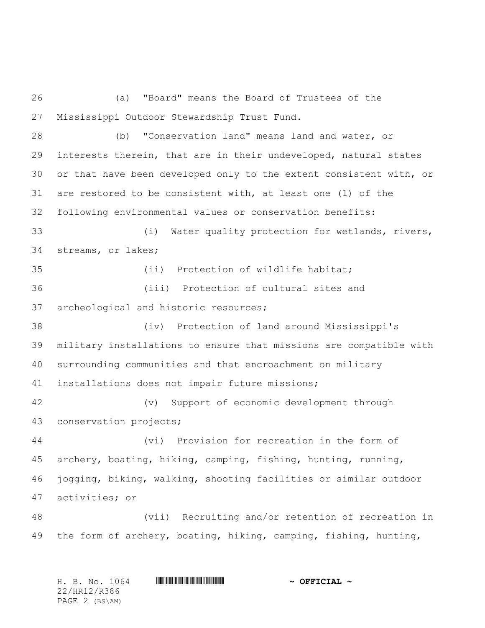(a) "Board" means the Board of Trustees of the Mississippi Outdoor Stewardship Trust Fund.

 (b) "Conservation land" means land and water, or interests therein, that are in their undeveloped, natural states or that have been developed only to the extent consistent with, or are restored to be consistent with, at least one (1) of the following environmental values or conservation benefits: (i) Water quality protection for wetlands, rivers, streams, or lakes; (ii) Protection of wildlife habitat; (iii) Protection of cultural sites and archeological and historic resources; (iv) Protection of land around Mississippi's military installations to ensure that missions are compatible with surrounding communities and that encroachment on military installations does not impair future missions; (v) Support of economic development through conservation projects;

 (vi) Provision for recreation in the form of archery, boating, hiking, camping, fishing, hunting, running, jogging, biking, walking, shooting facilities or similar outdoor activities; or

 (vii) Recruiting and/or retention of recreation in the form of archery, boating, hiking, camping, fishing, hunting,

| H. B. No. 1064 | $\sim$ OFFICIAL $\sim$ |
|----------------|------------------------|
| 22/HR12/R386   |                        |
| PAGE 2 (BS\AM) |                        |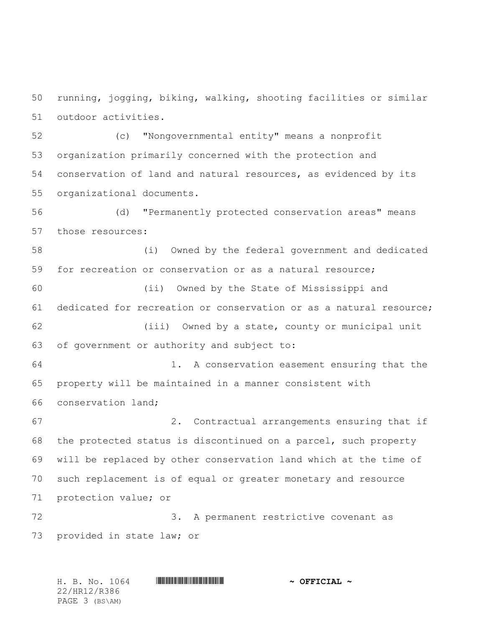running, jogging, biking, walking, shooting facilities or similar outdoor activities.

 (c) "Nongovernmental entity" means a nonprofit organization primarily concerned with the protection and conservation of land and natural resources, as evidenced by its organizational documents.

 (d) "Permanently protected conservation areas" means those resources:

 (i) Owned by the federal government and dedicated 59 for recreation or conservation or as a natural resource;

 (ii) Owned by the State of Mississippi and dedicated for recreation or conservation or as a natural resource; (iii) Owned by a state, county or municipal unit of government or authority and subject to: 1. A conservation easement ensuring that the

 property will be maintained in a manner consistent with conservation land;

 2. Contractual arrangements ensuring that if the protected status is discontinued on a parcel, such property will be replaced by other conservation land which at the time of such replacement is of equal or greater monetary and resource protection value; or

 3. A permanent restrictive covenant as provided in state law; or

H. B. No. 1064 \*HR12/R386\* **~ OFFICIAL ~** 22/HR12/R386 PAGE 3 (BS\AM)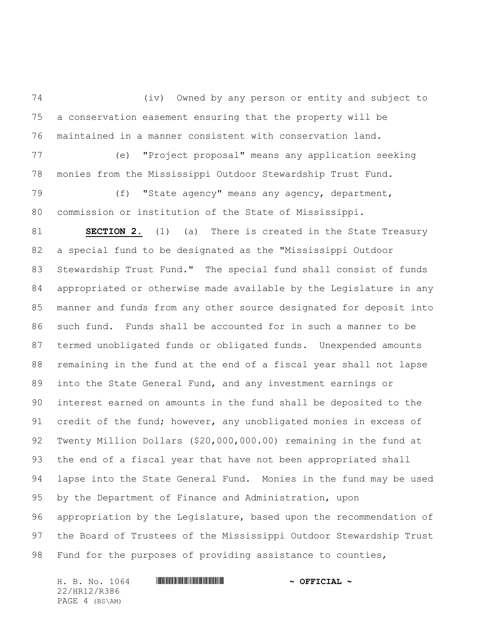(iv) Owned by any person or entity and subject to a conservation easement ensuring that the property will be maintained in a manner consistent with conservation land.

 (e) "Project proposal" means any application seeking monies from the Mississippi Outdoor Stewardship Trust Fund.

 (f) "State agency" means any agency, department, commission or institution of the State of Mississippi.

 **SECTION 2.** (1) (a) There is created in the State Treasury a special fund to be designated as the "Mississippi Outdoor Stewardship Trust Fund." The special fund shall consist of funds appropriated or otherwise made available by the Legislature in any manner and funds from any other source designated for deposit into such fund. Funds shall be accounted for in such a manner to be termed unobligated funds or obligated funds. Unexpended amounts remaining in the fund at the end of a fiscal year shall not lapse into the State General Fund, and any investment earnings or interest earned on amounts in the fund shall be deposited to the 91 credit of the fund; however, any unobligated monies in excess of Twenty Million Dollars (\$20,000,000.00) remaining in the fund at the end of a fiscal year that have not been appropriated shall lapse into the State General Fund. Monies in the fund may be used by the Department of Finance and Administration, upon appropriation by the Legislature, based upon the recommendation of the Board of Trustees of the Mississippi Outdoor Stewardship Trust Fund for the purposes of providing assistance to counties,

H. B. No. 1064 \*HR12/R386\* **~ OFFICIAL ~** 22/HR12/R386 PAGE 4 (BS\AM)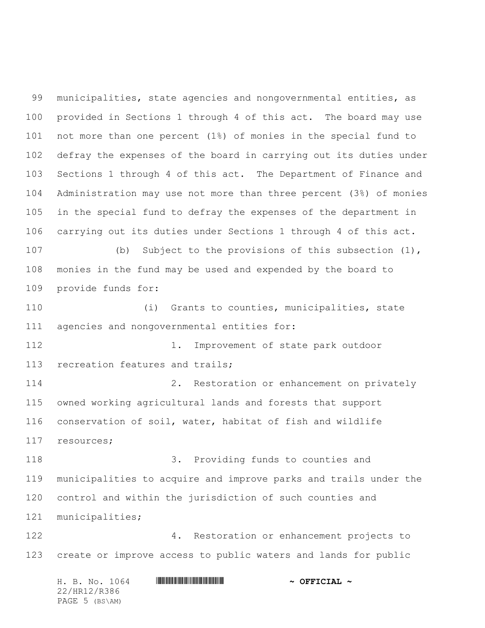municipalities, state agencies and nongovernmental entities, as provided in Sections 1 through 4 of this act. The board may use not more than one percent (1%) of monies in the special fund to defray the expenses of the board in carrying out its duties under Sections 1 through 4 of this act. The Department of Finance and Administration may use not more than three percent (3%) of monies in the special fund to defray the expenses of the department in carrying out its duties under Sections 1 through 4 of this act. (b) Subject to the provisions of this subsection (1), monies in the fund may be used and expended by the board to provide funds for: (i) Grants to counties, municipalities, state agencies and nongovernmental entities for: 112 112 1. Improvement of state park outdoor 113 recreation features and trails; 2. Restoration or enhancement on privately owned working agricultural lands and forests that support conservation of soil, water, habitat of fish and wildlife resources; 3. Providing funds to counties and municipalities to acquire and improve parks and trails under the control and within the jurisdiction of such counties and municipalities; 4. Restoration or enhancement projects to create or improve access to public waters and lands for public

H. B. No. 1064 \*HR12/R386\* **~ OFFICIAL ~** 22/HR12/R386 PAGE 5 (BS\AM)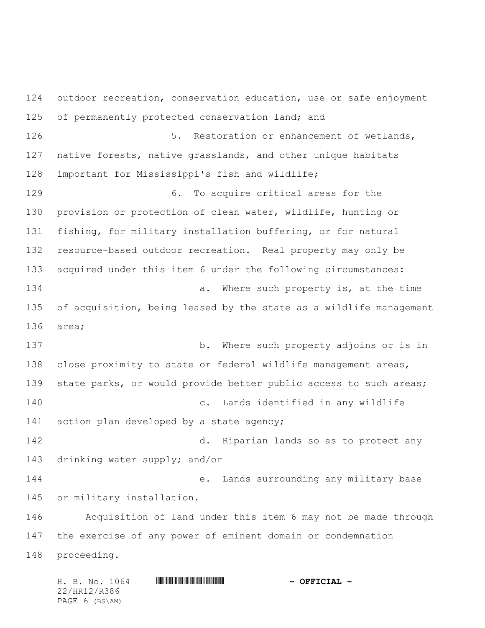H. B. No. 1064 \*HR12/R386\* **~ OFFICIAL ~** outdoor recreation, conservation education, use or safe enjoyment of permanently protected conservation land; and 126 5. Restoration or enhancement of wetlands, native forests, native grasslands, and other unique habitats important for Mississippi's fish and wildlife; 6. To acquire critical areas for the provision or protection of clean water, wildlife, hunting or fishing, for military installation buffering, or for natural resource-based outdoor recreation. Real property may only be acquired under this item 6 under the following circumstances: **a.** Where such property is, at the time of acquisition, being leased by the state as a wildlife management area; b. Where such property adjoins or is in close proximity to state or federal wildlife management areas, state parks, or would provide better public access to such areas; c. Lands identified in any wildlife 141 action plan developed by a state agency; d. Riparian lands so as to protect any drinking water supply; and/or e. Lands surrounding any military base or military installation. Acquisition of land under this item 6 may not be made through the exercise of any power of eminent domain or condemnation proceeding.

22/HR12/R386 PAGE 6 (BS\AM)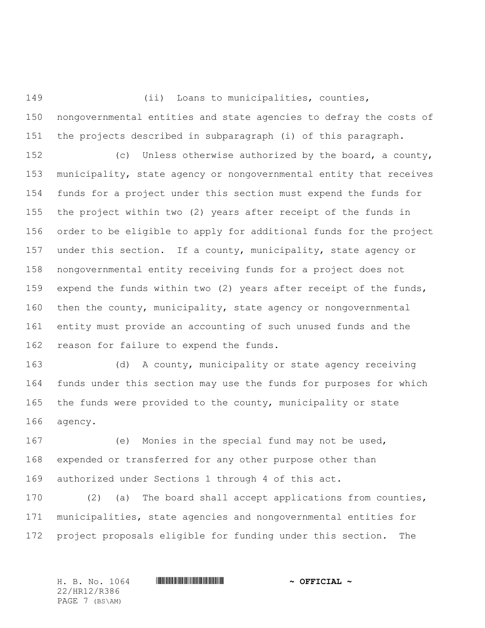nongovernmental entities and state agencies to defray the costs of the projects described in subparagraph (i) of this paragraph.

(ii) Loans to municipalities, counties,

 (c) Unless otherwise authorized by the board, a county, municipality, state agency or nongovernmental entity that receives funds for a project under this section must expend the funds for the project within two (2) years after receipt of the funds in order to be eligible to apply for additional funds for the project under this section. If a county, municipality, state agency or nongovernmental entity receiving funds for a project does not expend the funds within two (2) years after receipt of the funds, then the county, municipality, state agency or nongovernmental entity must provide an accounting of such unused funds and the 162 reason for failure to expend the funds.

 (d) A county, municipality or state agency receiving funds under this section may use the funds for purposes for which the funds were provided to the county, municipality or state agency.

 (e) Monies in the special fund may not be used, expended or transferred for any other purpose other than authorized under Sections 1 through 4 of this act.

 (2) (a) The board shall accept applications from counties, municipalities, state agencies and nongovernmental entities for project proposals eligible for funding under this section. The

22/HR12/R386 PAGE 7 (BS\AM)

H. B. No. 1064 \*HR12/R386\* **~ OFFICIAL ~**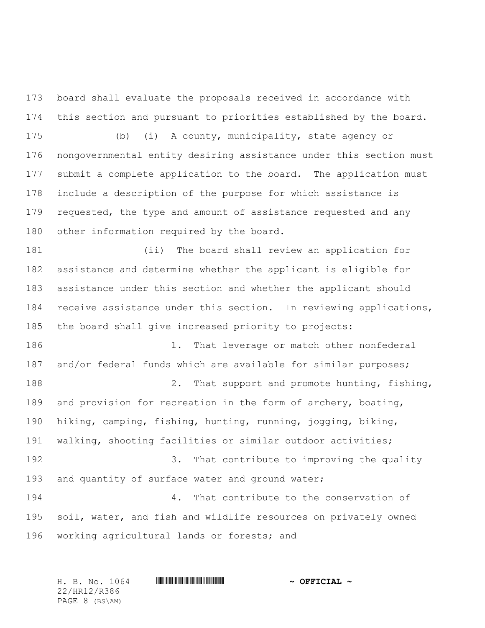board shall evaluate the proposals received in accordance with this section and pursuant to priorities established by the board.

 (b) (i) A county, municipality, state agency or nongovernmental entity desiring assistance under this section must submit a complete application to the board. The application must include a description of the purpose for which assistance is 179 requested, the type and amount of assistance requested and any other information required by the board.

 (ii) The board shall review an application for assistance and determine whether the applicant is eligible for assistance under this section and whether the applicant should 184 receive assistance under this section. In reviewing applications, the board shall give increased priority to projects:

186 1. That leverage or match other nonfederal and/or federal funds which are available for similar purposes; 188 2. That support and promote hunting, fishing, and provision for recreation in the form of archery, boating, hiking, camping, fishing, hunting, running, jogging, biking, walking, shooting facilities or similar outdoor activities; 192 3. That contribute to improving the quality 193 and quantity of surface water and ground water; 4. That contribute to the conservation of soil, water, and fish and wildlife resources on privately owned

```
196 working agricultural lands or forests; and
```
H. B. No. 1064 \*HR12/R386\* **~ OFFICIAL ~** 22/HR12/R386 PAGE 8 (BS\AM)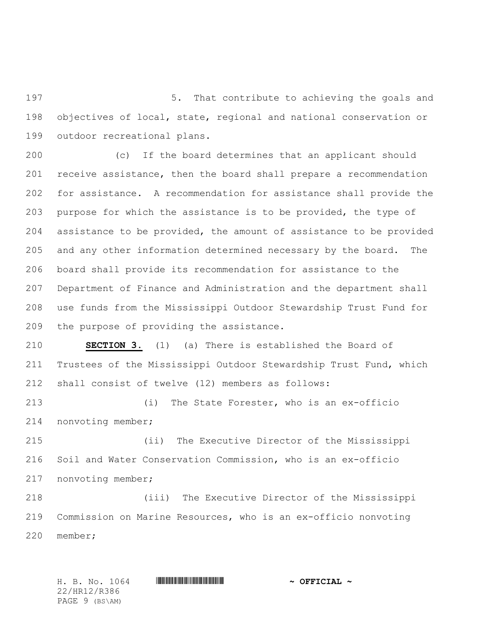5. That contribute to achieving the goals and objectives of local, state, regional and national conservation or outdoor recreational plans.

 (c) If the board determines that an applicant should receive assistance, then the board shall prepare a recommendation for assistance. A recommendation for assistance shall provide the purpose for which the assistance is to be provided, the type of assistance to be provided, the amount of assistance to be provided and any other information determined necessary by the board. The board shall provide its recommendation for assistance to the Department of Finance and Administration and the department shall use funds from the Mississippi Outdoor Stewardship Trust Fund for the purpose of providing the assistance.

 **SECTION 3.** (1) (a) There is established the Board of Trustees of the Mississippi Outdoor Stewardship Trust Fund, which shall consist of twelve (12) members as follows:

 (i) The State Forester, who is an ex-officio nonvoting member;

 (ii) The Executive Director of the Mississippi Soil and Water Conservation Commission, who is an ex-officio nonvoting member;

 (iii) The Executive Director of the Mississippi Commission on Marine Resources, who is an ex-officio nonvoting member;

H. B. No. 1064 **HRING AND ALL AND A PRICIAL ~** 22/HR12/R386 PAGE 9 (BS\AM)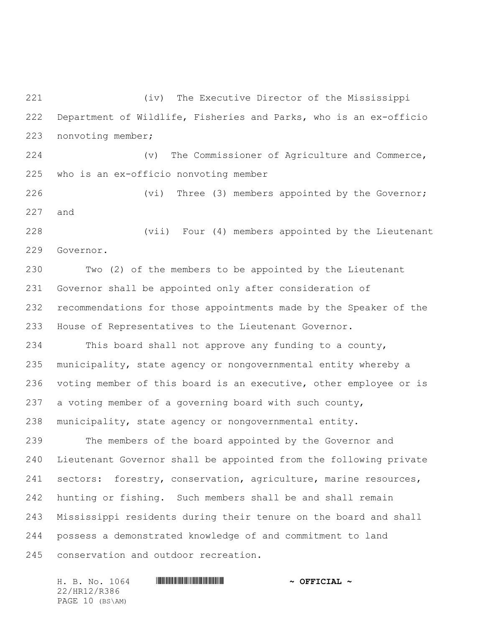(iv) The Executive Director of the Mississippi Department of Wildlife, Fisheries and Parks, who is an ex-officio nonvoting member;

 (v) The Commissioner of Agriculture and Commerce, who is an ex-officio nonvoting member

226 (vi) Three (3) members appointed by the Governor; and

 (vii) Four (4) members appointed by the Lieutenant Governor.

 Two (2) of the members to be appointed by the Lieutenant Governor shall be appointed only after consideration of recommendations for those appointments made by the Speaker of the House of Representatives to the Lieutenant Governor.

 This board shall not approve any funding to a county, municipality, state agency or nongovernmental entity whereby a voting member of this board is an executive, other employee or is a voting member of a governing board with such county, municipality, state agency or nongovernmental entity.

 The members of the board appointed by the Governor and Lieutenant Governor shall be appointed from the following private sectors: forestry, conservation, agriculture, marine resources, hunting or fishing. Such members shall be and shall remain Mississippi residents during their tenure on the board and shall possess a demonstrated knowledge of and commitment to land conservation and outdoor recreation.

H. B. No. 1064 \*HR12/R386\* **~ OFFICIAL ~** 22/HR12/R386 PAGE 10 (BS\AM)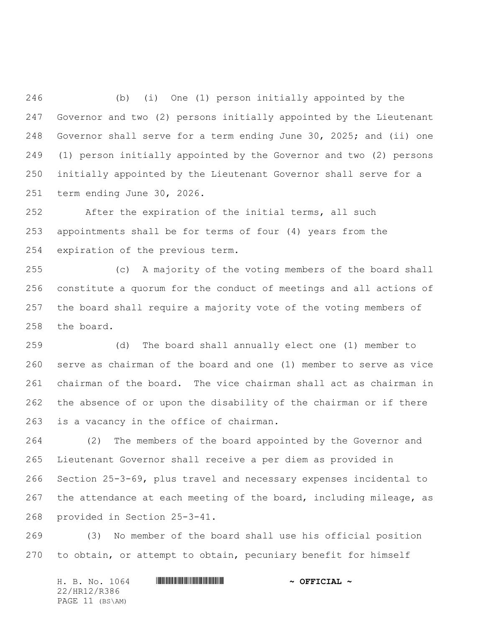(b) (i) One (1) person initially appointed by the Governor and two (2) persons initially appointed by the Lieutenant Governor shall serve for a term ending June 30, 2025; and (ii) one (1) person initially appointed by the Governor and two (2) persons initially appointed by the Lieutenant Governor shall serve for a term ending June 30, 2026.

 After the expiration of the initial terms, all such appointments shall be for terms of four (4) years from the expiration of the previous term.

 (c) A majority of the voting members of the board shall constitute a quorum for the conduct of meetings and all actions of the board shall require a majority vote of the voting members of the board.

 (d) The board shall annually elect one (1) member to serve as chairman of the board and one (1) member to serve as vice chairman of the board. The vice chairman shall act as chairman in the absence of or upon the disability of the chairman or if there is a vacancy in the office of chairman.

 (2) The members of the board appointed by the Governor and Lieutenant Governor shall receive a per diem as provided in Section 25-3-69, plus travel and necessary expenses incidental to 267 the attendance at each meeting of the board, including mileage, as provided in Section 25-3-41.

 (3) No member of the board shall use his official position to obtain, or attempt to obtain, pecuniary benefit for himself

H. B. No. 1064 \*HR12/R386\* **~ OFFICIAL ~** 22/HR12/R386 PAGE 11 (BS\AM)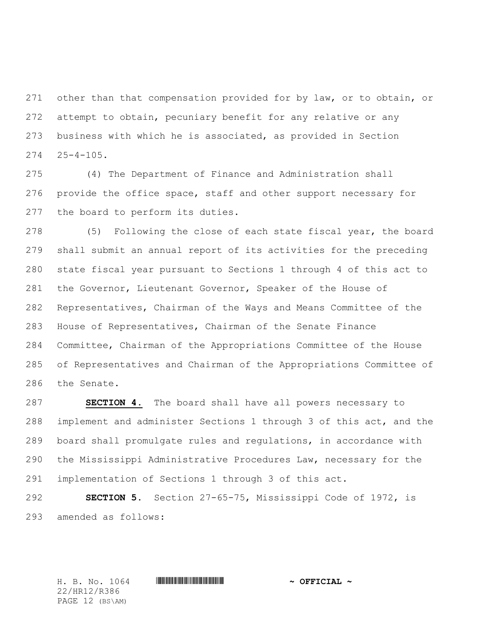other than that compensation provided for by law, or to obtain, or attempt to obtain, pecuniary benefit for any relative or any business with which he is associated, as provided in Section  $25-4-105$ .

 (4) The Department of Finance and Administration shall provide the office space, staff and other support necessary for the board to perform its duties.

 (5) Following the close of each state fiscal year, the board shall submit an annual report of its activities for the preceding state fiscal year pursuant to Sections 1 through 4 of this act to the Governor, Lieutenant Governor, Speaker of the House of Representatives, Chairman of the Ways and Means Committee of the House of Representatives, Chairman of the Senate Finance Committee, Chairman of the Appropriations Committee of the House of Representatives and Chairman of the Appropriations Committee of the Senate.

 **SECTION 4.** The board shall have all powers necessary to implement and administer Sections 1 through 3 of this act, and the board shall promulgate rules and regulations, in accordance with the Mississippi Administrative Procedures Law, necessary for the implementation of Sections 1 through 3 of this act.

 **SECTION 5.** Section 27-65-75, Mississippi Code of 1972, is amended as follows:

22/HR12/R386 PAGE 12 (BS\AM)

H. B. No. 1064 **HRING CONSERVERSE ASSESSED A OFFICIAL**  $\sim$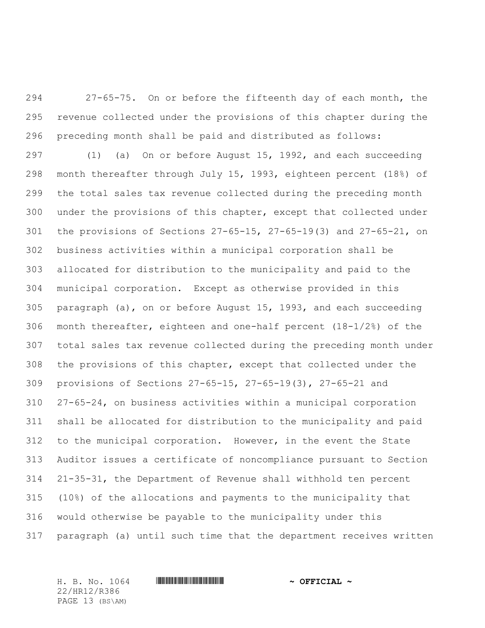27-65-75. On or before the fifteenth day of each month, the revenue collected under the provisions of this chapter during the preceding month shall be paid and distributed as follows:

 (1) (a) On or before August 15, 1992, and each succeeding month thereafter through July 15, 1993, eighteen percent (18%) of the total sales tax revenue collected during the preceding month under the provisions of this chapter, except that collected under the provisions of Sections 27-65-15, 27-65-19(3) and 27-65-21, on business activities within a municipal corporation shall be allocated for distribution to the municipality and paid to the municipal corporation. Except as otherwise provided in this paragraph (a), on or before August 15, 1993, and each succeeding month thereafter, eighteen and one-half percent (18-1/2%) of the total sales tax revenue collected during the preceding month under the provisions of this chapter, except that collected under the provisions of Sections 27-65-15, 27-65-19(3), 27-65-21 and 27-65-24, on business activities within a municipal corporation shall be allocated for distribution to the municipality and paid to the municipal corporation. However, in the event the State Auditor issues a certificate of noncompliance pursuant to Section 21-35-31, the Department of Revenue shall withhold ten percent (10%) of the allocations and payments to the municipality that would otherwise be payable to the municipality under this paragraph (a) until such time that the department receives written

22/HR12/R386 PAGE 13 (BS\AM)

H. B. No. 1064 \*HR12/R386\* **~ OFFICIAL ~**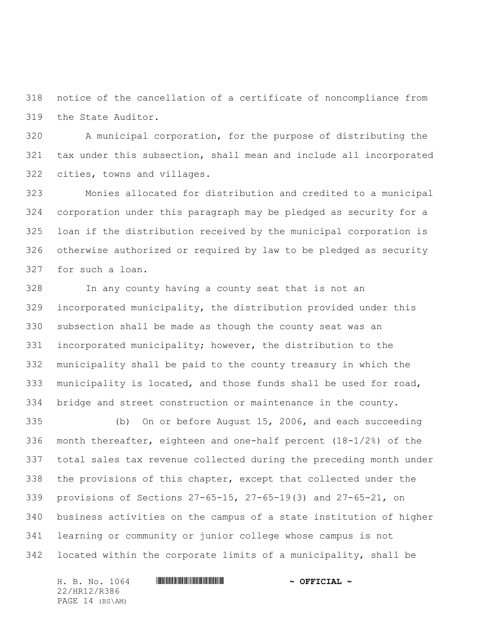notice of the cancellation of a certificate of noncompliance from the State Auditor.

 A municipal corporation, for the purpose of distributing the tax under this subsection, shall mean and include all incorporated cities, towns and villages.

 Monies allocated for distribution and credited to a municipal corporation under this paragraph may be pledged as security for a loan if the distribution received by the municipal corporation is otherwise authorized or required by law to be pledged as security for such a loan.

 In any county having a county seat that is not an incorporated municipality, the distribution provided under this subsection shall be made as though the county seat was an incorporated municipality; however, the distribution to the municipality shall be paid to the county treasury in which the municipality is located, and those funds shall be used for road, bridge and street construction or maintenance in the county.

 (b) On or before August 15, 2006, and each succeeding month thereafter, eighteen and one-half percent (18-1/2%) of the total sales tax revenue collected during the preceding month under the provisions of this chapter, except that collected under the provisions of Sections 27-65-15, 27-65-19(3) and 27-65-21, on business activities on the campus of a state institution of higher learning or community or junior college whose campus is not located within the corporate limits of a municipality, shall be

H. B. No. 1064 \*HR12/R386\* **~ OFFICIAL ~** 22/HR12/R386 PAGE 14 (BS\AM)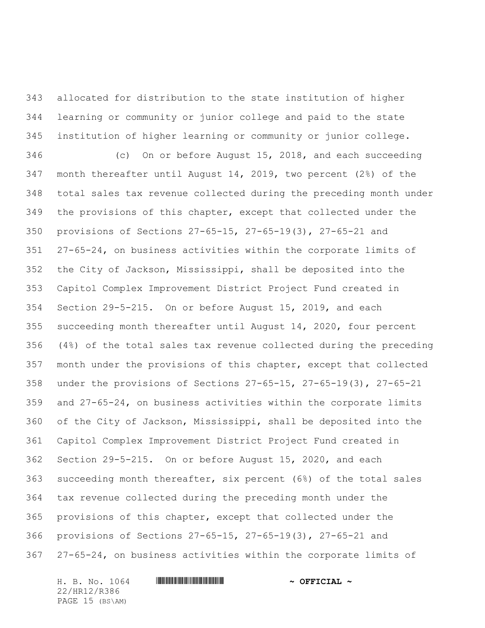allocated for distribution to the state institution of higher learning or community or junior college and paid to the state institution of higher learning or community or junior college.

 (c) On or before August 15, 2018, and each succeeding month thereafter until August 14, 2019, two percent (2%) of the total sales tax revenue collected during the preceding month under the provisions of this chapter, except that collected under the provisions of Sections 27-65-15, 27-65-19(3), 27-65-21 and 27-65-24, on business activities within the corporate limits of the City of Jackson, Mississippi, shall be deposited into the Capitol Complex Improvement District Project Fund created in Section 29-5-215. On or before August 15, 2019, and each succeeding month thereafter until August 14, 2020, four percent (4%) of the total sales tax revenue collected during the preceding month under the provisions of this chapter, except that collected under the provisions of Sections 27-65-15, 27-65-19(3), 27-65-21 and 27-65-24, on business activities within the corporate limits of the City of Jackson, Mississippi, shall be deposited into the Capitol Complex Improvement District Project Fund created in Section 29-5-215. On or before August 15, 2020, and each succeeding month thereafter, six percent (6%) of the total sales tax revenue collected during the preceding month under the provisions of this chapter, except that collected under the provisions of Sections 27-65-15, 27-65-19(3), 27-65-21 and 27-65-24, on business activities within the corporate limits of

H. B. No. 1064 \*HR12/R386\* **~ OFFICIAL ~** 22/HR12/R386 PAGE 15 (BS\AM)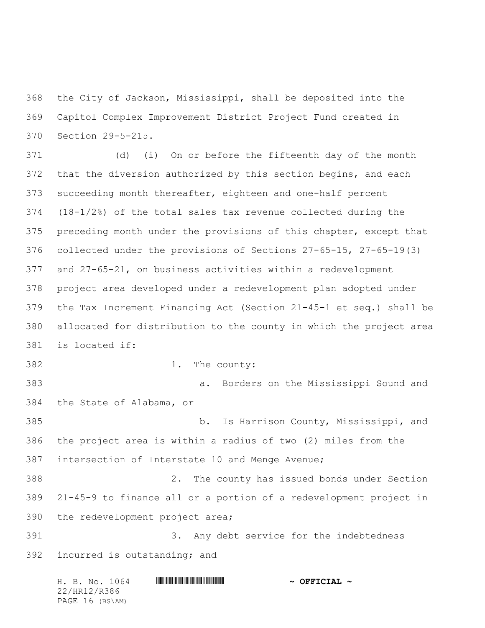the City of Jackson, Mississippi, shall be deposited into the Capitol Complex Improvement District Project Fund created in Section 29-5-215.

 (d) (i) On or before the fifteenth day of the month 372 that the diversion authorized by this section begins, and each succeeding month thereafter, eighteen and one-half percent (18-1/2%) of the total sales tax revenue collected during the preceding month under the provisions of this chapter, except that collected under the provisions of Sections 27-65-15, 27-65-19(3) and 27-65-21, on business activities within a redevelopment project area developed under a redevelopment plan adopted under the Tax Increment Financing Act (Section 21-45-1 et seq.) shall be allocated for distribution to the county in which the project area is located if: 1. The county: a. Borders on the Mississippi Sound and

the State of Alabama, or

 b. Is Harrison County, Mississippi, and the project area is within a radius of two (2) miles from the intersection of Interstate 10 and Menge Avenue;

 2. The county has issued bonds under Section 21-45-9 to finance all or a portion of a redevelopment project in the redevelopment project area;

 3. Any debt service for the indebtedness incurred is outstanding; and

| H. B. No. 1064  | $\sim$ OFFICIAL $\sim$ |
|-----------------|------------------------|
| 22/HR12/R386    |                        |
| PAGE 16 (BS\AM) |                        |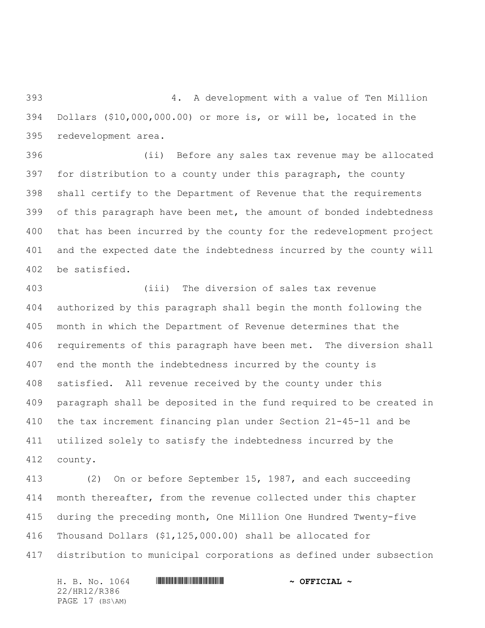4. A development with a value of Ten Million Dollars (\$10,000,000.00) or more is, or will be, located in the redevelopment area.

 (ii) Before any sales tax revenue may be allocated for distribution to a county under this paragraph, the county shall certify to the Department of Revenue that the requirements of this paragraph have been met, the amount of bonded indebtedness that has been incurred by the county for the redevelopment project and the expected date the indebtedness incurred by the county will be satisfied.

 (iii) The diversion of sales tax revenue authorized by this paragraph shall begin the month following the month in which the Department of Revenue determines that the requirements of this paragraph have been met. The diversion shall end the month the indebtedness incurred by the county is satisfied. All revenue received by the county under this paragraph shall be deposited in the fund required to be created in the tax increment financing plan under Section 21-45-11 and be utilized solely to satisfy the indebtedness incurred by the county.

 (2) On or before September 15, 1987, and each succeeding month thereafter, from the revenue collected under this chapter during the preceding month, One Million One Hundred Twenty-five Thousand Dollars (\$1,125,000.00) shall be allocated for distribution to municipal corporations as defined under subsection

H. B. No. 1064 **HRING CONSERVERSE AND A SETT CIAL ~** 22/HR12/R386 PAGE 17 (BS\AM)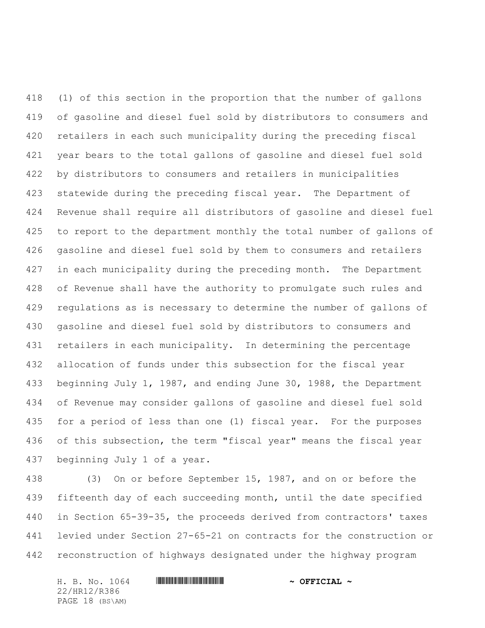(1) of this section in the proportion that the number of gallons of gasoline and diesel fuel sold by distributors to consumers and retailers in each such municipality during the preceding fiscal year bears to the total gallons of gasoline and diesel fuel sold by distributors to consumers and retailers in municipalities statewide during the preceding fiscal year. The Department of Revenue shall require all distributors of gasoline and diesel fuel to report to the department monthly the total number of gallons of gasoline and diesel fuel sold by them to consumers and retailers 427 in each municipality during the preceding month. The Department of Revenue shall have the authority to promulgate such rules and regulations as is necessary to determine the number of gallons of gasoline and diesel fuel sold by distributors to consumers and retailers in each municipality. In determining the percentage allocation of funds under this subsection for the fiscal year beginning July 1, 1987, and ending June 30, 1988, the Department of Revenue may consider gallons of gasoline and diesel fuel sold for a period of less than one (1) fiscal year. For the purposes 436 of this subsection, the term "fiscal year" means the fiscal year beginning July 1 of a year.

 (3) On or before September 15, 1987, and on or before the fifteenth day of each succeeding month, until the date specified in Section 65-39-35, the proceeds derived from contractors' taxes levied under Section 27-65-21 on contracts for the construction or reconstruction of highways designated under the highway program

H. B. No. 1064 \*HR12/R386\* **~ OFFICIAL ~** 22/HR12/R386 PAGE 18 (BS\AM)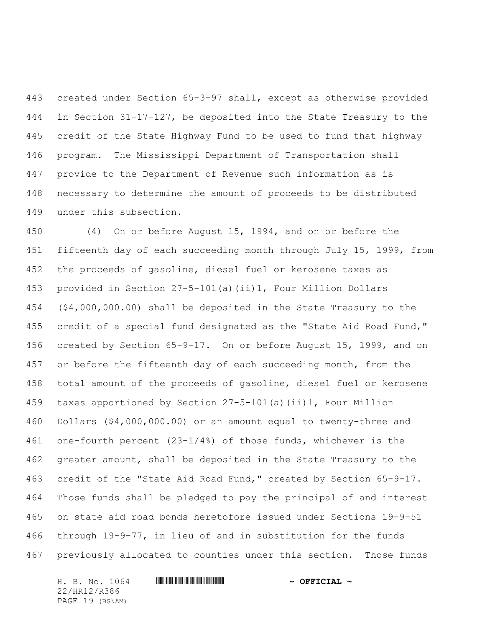created under Section 65-3-97 shall, except as otherwise provided in Section 31-17-127, be deposited into the State Treasury to the credit of the State Highway Fund to be used to fund that highway program. The Mississippi Department of Transportation shall provide to the Department of Revenue such information as is necessary to determine the amount of proceeds to be distributed under this subsection.

 (4) On or before August 15, 1994, and on or before the fifteenth day of each succeeding month through July 15, 1999, from the proceeds of gasoline, diesel fuel or kerosene taxes as provided in Section 27-5-101(a)(ii)1, Four Million Dollars (\$4,000,000.00) shall be deposited in the State Treasury to the credit of a special fund designated as the "State Aid Road Fund," created by Section 65-9-17. On or before August 15, 1999, and on 457 or before the fifteenth day of each succeeding month, from the total amount of the proceeds of gasoline, diesel fuel or kerosene taxes apportioned by Section 27-5-101(a)(ii)1, Four Million Dollars (\$4,000,000.00) or an amount equal to twenty-three and one-fourth percent (23-1/4%) of those funds, whichever is the greater amount, shall be deposited in the State Treasury to the credit of the "State Aid Road Fund," created by Section 65-9-17. Those funds shall be pledged to pay the principal of and interest on state aid road bonds heretofore issued under Sections 19-9-51 through 19-9-77, in lieu of and in substitution for the funds previously allocated to counties under this section. Those funds

H. B. No. 1064 **HRING CONSERVERSE AND A SET CIAL ~** 22/HR12/R386 PAGE 19 (BS\AM)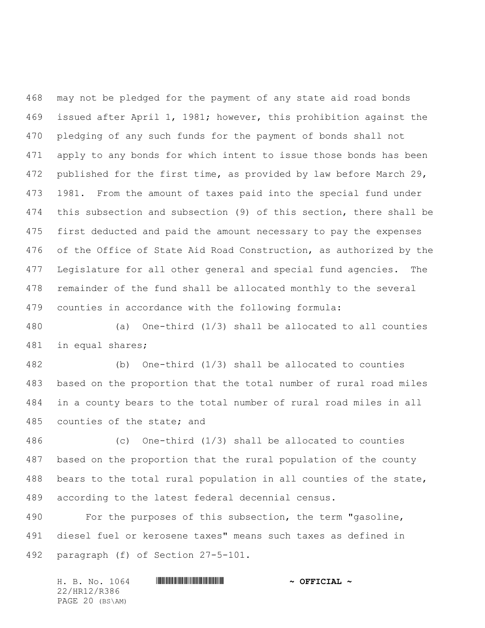may not be pledged for the payment of any state aid road bonds issued after April 1, 1981; however, this prohibition against the pledging of any such funds for the payment of bonds shall not apply to any bonds for which intent to issue those bonds has been 472 published for the first time, as provided by law before March 29, 1981. From the amount of taxes paid into the special fund under this subsection and subsection (9) of this section, there shall be first deducted and paid the amount necessary to pay the expenses of the Office of State Aid Road Construction, as authorized by the Legislature for all other general and special fund agencies. The remainder of the fund shall be allocated monthly to the several counties in accordance with the following formula:

 (a) One-third (1/3) shall be allocated to all counties in equal shares;

 (b) One-third (1/3) shall be allocated to counties based on the proportion that the total number of rural road miles in a county bears to the total number of rural road miles in all counties of the state; and

 (c) One-third (1/3) shall be allocated to counties based on the proportion that the rural population of the county bears to the total rural population in all counties of the state, according to the latest federal decennial census.

 For the purposes of this subsection, the term "gasoline, diesel fuel or kerosene taxes" means such taxes as defined in paragraph (f) of Section 27-5-101.

| H. B. No. 1064  | $\sim$ OFFICIAL $\sim$ |
|-----------------|------------------------|
| 22/HR12/R386    |                        |
| PAGE 20 (BS\AM) |                        |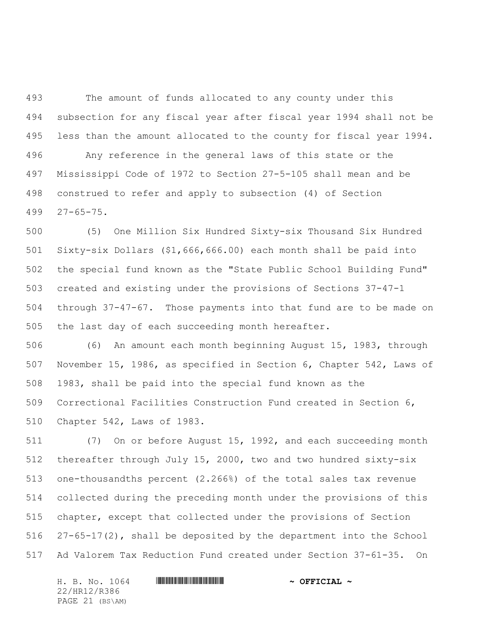The amount of funds allocated to any county under this subsection for any fiscal year after fiscal year 1994 shall not be less than the amount allocated to the county for fiscal year 1994. Any reference in the general laws of this state or the Mississippi Code of 1972 to Section 27-5-105 shall mean and be construed to refer and apply to subsection (4) of Section 27-65-75.

 (5) One Million Six Hundred Sixty-six Thousand Six Hundred Sixty-six Dollars (\$1,666,666.00) each month shall be paid into the special fund known as the "State Public School Building Fund" created and existing under the provisions of Sections 37-47-1 through 37-47-67. Those payments into that fund are to be made on the last day of each succeeding month hereafter.

 (6) An amount each month beginning August 15, 1983, through November 15, 1986, as specified in Section 6, Chapter 542, Laws of 1983, shall be paid into the special fund known as the Correctional Facilities Construction Fund created in Section 6, Chapter 542, Laws of 1983.

 (7) On or before August 15, 1992, and each succeeding month thereafter through July 15, 2000, two and two hundred sixty-six one-thousandths percent (2.266%) of the total sales tax revenue collected during the preceding month under the provisions of this chapter, except that collected under the provisions of Section 27-65-17(2), shall be deposited by the department into the School Ad Valorem Tax Reduction Fund created under Section 37-61-35. On

H. B. No. 1064 **HRING CONSERVERSE AND A SET CIAL ~** 22/HR12/R386 PAGE 21 (BS\AM)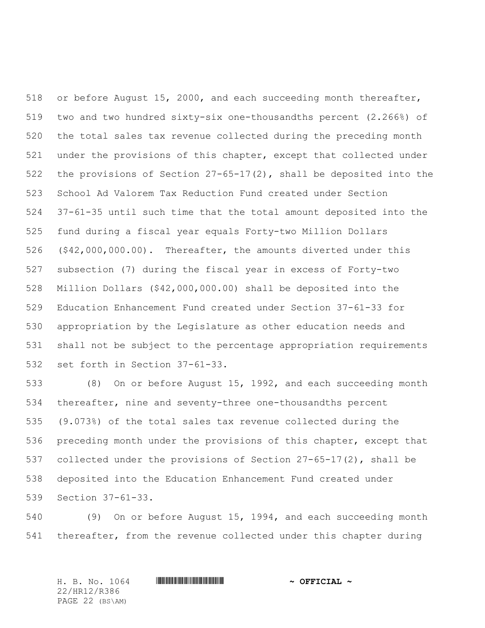or before August 15, 2000, and each succeeding month thereafter, two and two hundred sixty-six one-thousandths percent (2.266%) of the total sales tax revenue collected during the preceding month under the provisions of this chapter, except that collected under the provisions of Section 27-65-17(2), shall be deposited into the School Ad Valorem Tax Reduction Fund created under Section 37-61-35 until such time that the total amount deposited into the fund during a fiscal year equals Forty-two Million Dollars (\$42,000,000.00). Thereafter, the amounts diverted under this subsection (7) during the fiscal year in excess of Forty-two Million Dollars (\$42,000,000.00) shall be deposited into the Education Enhancement Fund created under Section 37-61-33 for appropriation by the Legislature as other education needs and shall not be subject to the percentage appropriation requirements set forth in Section 37-61-33.

 (8) On or before August 15, 1992, and each succeeding month thereafter, nine and seventy-three one-thousandths percent (9.073%) of the total sales tax revenue collected during the preceding month under the provisions of this chapter, except that collected under the provisions of Section 27-65-17(2), shall be deposited into the Education Enhancement Fund created under Section 37-61-33.

 (9) On or before August 15, 1994, and each succeeding month thereafter, from the revenue collected under this chapter during

22/HR12/R386 PAGE 22 (BS\AM)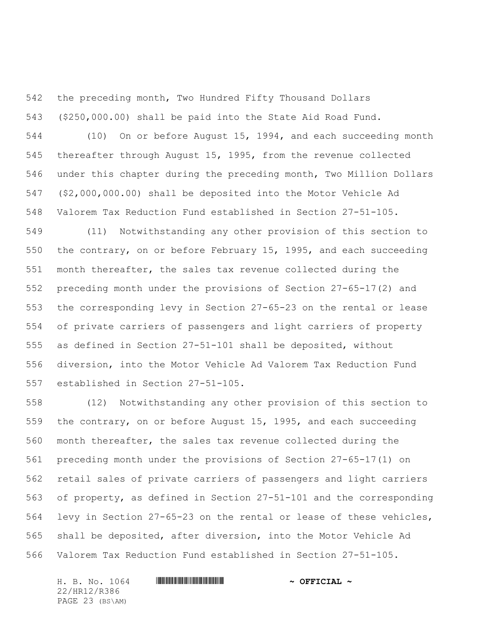the preceding month, Two Hundred Fifty Thousand Dollars

(\$250,000.00) shall be paid into the State Aid Road Fund.

 (10) On or before August 15, 1994, and each succeeding month thereafter through August 15, 1995, from the revenue collected under this chapter during the preceding month, Two Million Dollars (\$2,000,000.00) shall be deposited into the Motor Vehicle Ad Valorem Tax Reduction Fund established in Section 27-51-105.

 (11) Notwithstanding any other provision of this section to the contrary, on or before February 15, 1995, and each succeeding month thereafter, the sales tax revenue collected during the preceding month under the provisions of Section 27-65-17(2) and the corresponding levy in Section 27-65-23 on the rental or lease of private carriers of passengers and light carriers of property as defined in Section 27-51-101 shall be deposited, without diversion, into the Motor Vehicle Ad Valorem Tax Reduction Fund established in Section 27-51-105.

 (12) Notwithstanding any other provision of this section to the contrary, on or before August 15, 1995, and each succeeding month thereafter, the sales tax revenue collected during the preceding month under the provisions of Section 27-65-17(1) on retail sales of private carriers of passengers and light carriers of property, as defined in Section 27-51-101 and the corresponding levy in Section 27-65-23 on the rental or lease of these vehicles, shall be deposited, after diversion, into the Motor Vehicle Ad Valorem Tax Reduction Fund established in Section 27-51-105.

22/HR12/R386 PAGE 23 (BS\AM)

H. B. No. 1064 \*HR12/R386\* **~ OFFICIAL ~**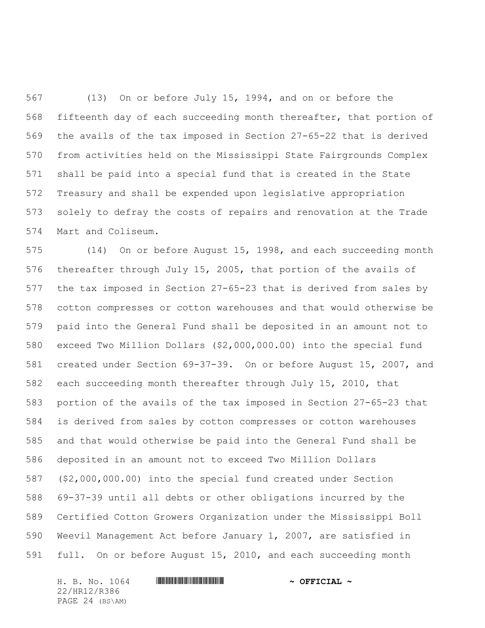(13) On or before July 15, 1994, and on or before the fifteenth day of each succeeding month thereafter, that portion of the avails of the tax imposed in Section 27-65-22 that is derived from activities held on the Mississippi State Fairgrounds Complex shall be paid into a special fund that is created in the State Treasury and shall be expended upon legislative appropriation solely to defray the costs of repairs and renovation at the Trade Mart and Coliseum.

 (14) On or before August 15, 1998, and each succeeding month thereafter through July 15, 2005, that portion of the avails of the tax imposed in Section 27-65-23 that is derived from sales by cotton compresses or cotton warehouses and that would otherwise be paid into the General Fund shall be deposited in an amount not to exceed Two Million Dollars (\$2,000,000.00) into the special fund created under Section 69-37-39. On or before August 15, 2007, and each succeeding month thereafter through July 15, 2010, that portion of the avails of the tax imposed in Section 27-65-23 that is derived from sales by cotton compresses or cotton warehouses and that would otherwise be paid into the General Fund shall be deposited in an amount not to exceed Two Million Dollars (\$2,000,000.00) into the special fund created under Section 69-37-39 until all debts or other obligations incurred by the Certified Cotton Growers Organization under the Mississippi Boll Weevil Management Act before January 1, 2007, are satisfied in full. On or before August 15, 2010, and each succeeding month

H. B. No. 1064 \*HR12/R386\* **~ OFFICIAL ~** 22/HR12/R386 PAGE 24 (BS\AM)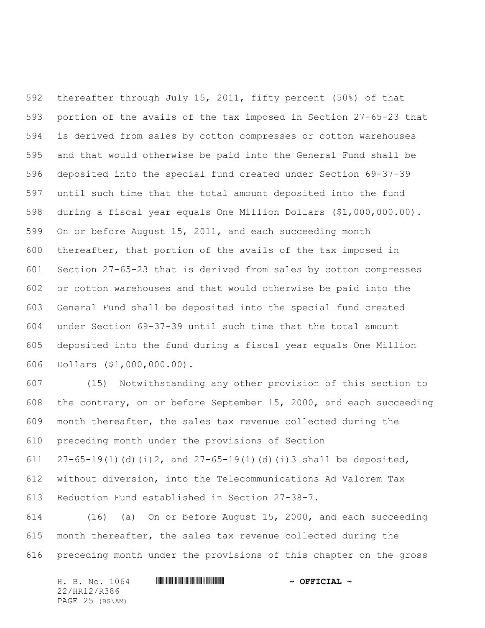thereafter through July 15, 2011, fifty percent (50%) of that portion of the avails of the tax imposed in Section 27-65-23 that is derived from sales by cotton compresses or cotton warehouses and that would otherwise be paid into the General Fund shall be deposited into the special fund created under Section 69-37-39 until such time that the total amount deposited into the fund during a fiscal year equals One Million Dollars (\$1,000,000.00). On or before August 15, 2011, and each succeeding month thereafter, that portion of the avails of the tax imposed in Section 27-65-23 that is derived from sales by cotton compresses or cotton warehouses and that would otherwise be paid into the General Fund shall be deposited into the special fund created under Section 69-37-39 until such time that the total amount deposited into the fund during a fiscal year equals One Million Dollars (\$1,000,000.00).

 (15) Notwithstanding any other provision of this section to the contrary, on or before September 15, 2000, and each succeeding month thereafter, the sales tax revenue collected during the preceding month under the provisions of Section  $27-65-19(1)(d)(i)$ 2, and  $27-65-19(1)(d)(i)3$  shall be deposited, without diversion, into the Telecommunications Ad Valorem Tax Reduction Fund established in Section 27-38-7.

 (16) (a) On or before August 15, 2000, and each succeeding month thereafter, the sales tax revenue collected during the preceding month under the provisions of this chapter on the gross

H. B. No. 1064 \*HR12/R386\* **~ OFFICIAL ~** 22/HR12/R386 PAGE 25 (BS\AM)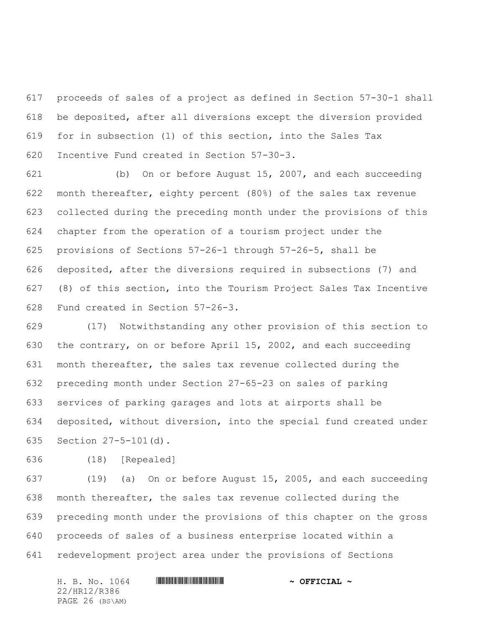proceeds of sales of a project as defined in Section 57-30-1 shall be deposited, after all diversions except the diversion provided for in subsection (1) of this section, into the Sales Tax Incentive Fund created in Section 57-30-3.

 (b) On or before August 15, 2007, and each succeeding month thereafter, eighty percent (80%) of the sales tax revenue collected during the preceding month under the provisions of this chapter from the operation of a tourism project under the provisions of Sections 57-26-1 through 57-26-5, shall be deposited, after the diversions required in subsections (7) and (8) of this section, into the Tourism Project Sales Tax Incentive Fund created in Section 57-26-3.

 (17) Notwithstanding any other provision of this section to the contrary, on or before April 15, 2002, and each succeeding month thereafter, the sales tax revenue collected during the preceding month under Section 27-65-23 on sales of parking services of parking garages and lots at airports shall be deposited, without diversion, into the special fund created under Section 27-5-101(d).

(18) [Repealed]

 (19) (a) On or before August 15, 2005, and each succeeding month thereafter, the sales tax revenue collected during the preceding month under the provisions of this chapter on the gross proceeds of sales of a business enterprise located within a redevelopment project area under the provisions of Sections

H. B. No. 1064 **HRING CONSERVERSE AND A SETT CIAL ~** 22/HR12/R386 PAGE 26 (BS\AM)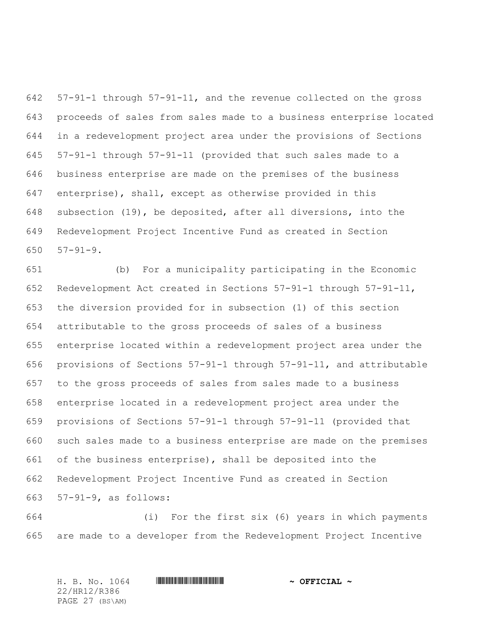57-91-1 through 57-91-11, and the revenue collected on the gross proceeds of sales from sales made to a business enterprise located in a redevelopment project area under the provisions of Sections 57-91-1 through 57-91-11 (provided that such sales made to a business enterprise are made on the premises of the business enterprise), shall, except as otherwise provided in this subsection (19), be deposited, after all diversions, into the Redevelopment Project Incentive Fund as created in Section 57-91-9.

 (b) For a municipality participating in the Economic Redevelopment Act created in Sections 57-91-1 through 57-91-11, the diversion provided for in subsection (1) of this section attributable to the gross proceeds of sales of a business enterprise located within a redevelopment project area under the provisions of Sections 57-91-1 through 57-91-11, and attributable to the gross proceeds of sales from sales made to a business enterprise located in a redevelopment project area under the provisions of Sections 57-91-1 through 57-91-11 (provided that such sales made to a business enterprise are made on the premises of the business enterprise), shall be deposited into the Redevelopment Project Incentive Fund as created in Section 57-91-9, as follows:

 (i) For the first six (6) years in which payments are made to a developer from the Redevelopment Project Incentive

H. B. No. 1064 \*HR12/R386\* **~ OFFICIAL ~** 22/HR12/R386 PAGE 27 (BS\AM)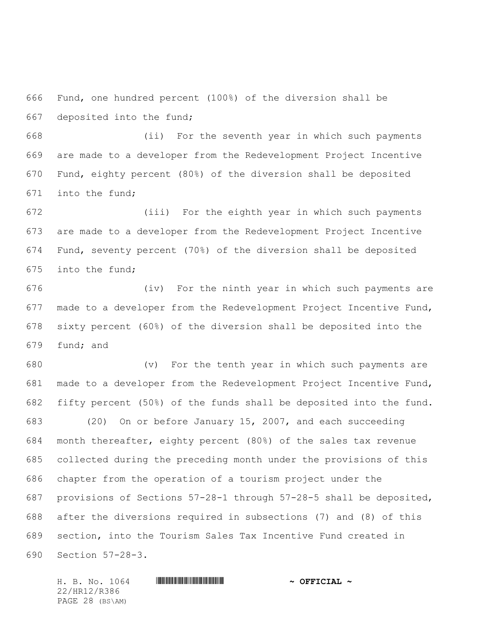Fund, one hundred percent (100%) of the diversion shall be deposited into the fund;

 (ii) For the seventh year in which such payments are made to a developer from the Redevelopment Project Incentive Fund, eighty percent (80%) of the diversion shall be deposited into the fund;

 (iii) For the eighth year in which such payments are made to a developer from the Redevelopment Project Incentive Fund, seventy percent (70%) of the diversion shall be deposited into the fund;

 (iv) For the ninth year in which such payments are made to a developer from the Redevelopment Project Incentive Fund, sixty percent (60%) of the diversion shall be deposited into the fund; and

 (v) For the tenth year in which such payments are made to a developer from the Redevelopment Project Incentive Fund, fifty percent (50%) of the funds shall be deposited into the fund. (20) On or before January 15, 2007, and each succeeding month thereafter, eighty percent (80%) of the sales tax revenue collected during the preceding month under the provisions of this chapter from the operation of a tourism project under the provisions of Sections 57-28-1 through 57-28-5 shall be deposited, after the diversions required in subsections (7) and (8) of this section, into the Tourism Sales Tax Incentive Fund created in Section 57-28-3.

H. B. No. 1064 \*HR12/R386\* **~ OFFICIAL ~** 22/HR12/R386 PAGE 28 (BS\AM)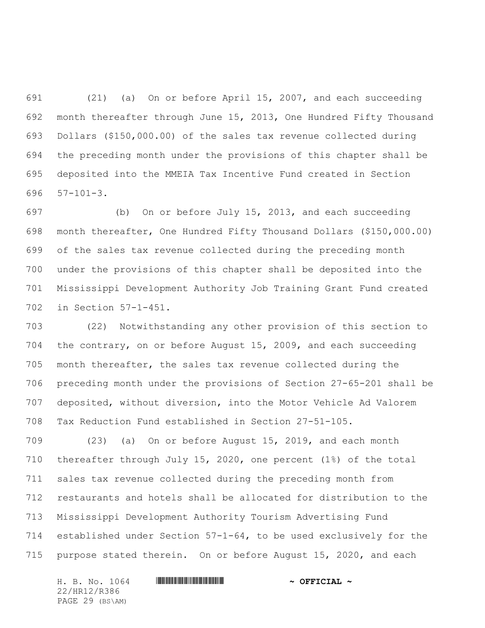(21) (a) On or before April 15, 2007, and each succeeding month thereafter through June 15, 2013, One Hundred Fifty Thousand Dollars (\$150,000.00) of the sales tax revenue collected during the preceding month under the provisions of this chapter shall be deposited into the MMEIA Tax Incentive Fund created in Section 57-101-3.

 (b) On or before July 15, 2013, and each succeeding month thereafter, One Hundred Fifty Thousand Dollars (\$150,000.00) of the sales tax revenue collected during the preceding month under the provisions of this chapter shall be deposited into the Mississippi Development Authority Job Training Grant Fund created in Section 57-1-451.

 (22) Notwithstanding any other provision of this section to the contrary, on or before August 15, 2009, and each succeeding month thereafter, the sales tax revenue collected during the preceding month under the provisions of Section 27-65-201 shall be deposited, without diversion, into the Motor Vehicle Ad Valorem Tax Reduction Fund established in Section 27-51-105.

 (23) (a) On or before August 15, 2019, and each month thereafter through July 15, 2020, one percent (1%) of the total sales tax revenue collected during the preceding month from restaurants and hotels shall be allocated for distribution to the Mississippi Development Authority Tourism Advertising Fund established under Section 57-1-64, to be used exclusively for the purpose stated therein. On or before August 15, 2020, and each

H. B. No. 1064 \*HR12/R386\* **~ OFFICIAL ~** 22/HR12/R386 PAGE 29 (BS\AM)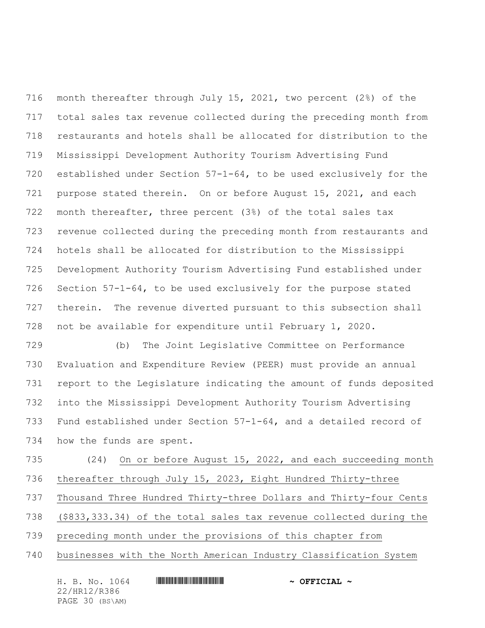month thereafter through July 15, 2021, two percent (2%) of the total sales tax revenue collected during the preceding month from restaurants and hotels shall be allocated for distribution to the Mississippi Development Authority Tourism Advertising Fund established under Section 57-1-64, to be used exclusively for the purpose stated therein. On or before August 15, 2021, and each month thereafter, three percent (3%) of the total sales tax revenue collected during the preceding month from restaurants and hotels shall be allocated for distribution to the Mississippi Development Authority Tourism Advertising Fund established under Section 57-1-64, to be used exclusively for the purpose stated therein. The revenue diverted pursuant to this subsection shall not be available for expenditure until February 1, 2020.

 (b) The Joint Legislative Committee on Performance Evaluation and Expenditure Review (PEER) must provide an annual report to the Legislature indicating the amount of funds deposited into the Mississippi Development Authority Tourism Advertising Fund established under Section 57-1-64, and a detailed record of how the funds are spent.

 (24) On or before August 15, 2022, and each succeeding month thereafter through July 15, 2023, Eight Hundred Thirty-three Thousand Three Hundred Thirty-three Dollars and Thirty-four Cents (\$833,333.34) of the total sales tax revenue collected during the preceding month under the provisions of this chapter from businesses with the North American Industry Classification System

| H. B. No. 1064  | $\sim$ OFFICIAL $\sim$ |
|-----------------|------------------------|
| 22/HR12/R386    |                        |
| PAGE 30 (BS\AM) |                        |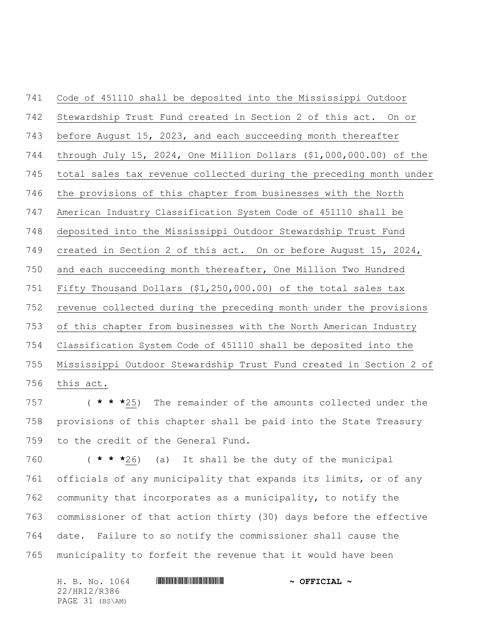Code of 451110 shall be deposited into the Mississippi Outdoor Stewardship Trust Fund created in Section 2 of this act. On or before August 15, 2023, and each succeeding month thereafter through July 15, 2024, One Million Dollars (\$1,000,000.00) of the total sales tax revenue collected during the preceding month under the provisions of this chapter from businesses with the North American Industry Classification System Code of 451110 shall be deposited into the Mississippi Outdoor Stewardship Trust Fund created in Section 2 of this act. On or before August 15, 2024, and each succeeding month thereafter, One Million Two Hundred Fifty Thousand Dollars (\$1,250,000.00) of the total sales tax revenue collected during the preceding month under the provisions of this chapter from businesses with the North American Industry Classification System Code of 451110 shall be deposited into the Mississippi Outdoor Stewardship Trust Fund created in Section 2 of this act.

 ( **\* \* \***25) The remainder of the amounts collected under the provisions of this chapter shall be paid into the State Treasury to the credit of the General Fund.

 ( **\* \* \***26) (a) It shall be the duty of the municipal officials of any municipality that expands its limits, or of any community that incorporates as a municipality, to notify the commissioner of that action thirty (30) days before the effective date. Failure to so notify the commissioner shall cause the municipality to forfeit the revenue that it would have been

H. B. No. 1064 **HRING CONSERVERSE AND A SETT CIAL ~** 22/HR12/R386 PAGE 31 (BS\AM)